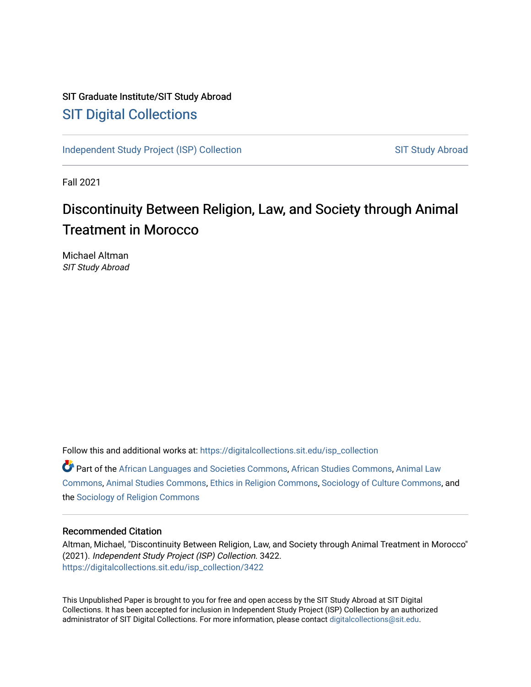# SIT Graduate Institute/SIT Study Abroad [SIT Digital Collections](https://digitalcollections.sit.edu/)

[Independent Study Project \(ISP\) Collection](https://digitalcollections.sit.edu/isp_collection) [SIT Study Abroad](https://digitalcollections.sit.edu/study_abroad) SIT Study Abroad

Fall 2021

# Discontinuity Between Religion, Law, and Society through Animal Treatment in Morocco

Michael Altman SIT Study Abroad

Follow this and additional works at: [https://digitalcollections.sit.edu/isp\\_collection](https://digitalcollections.sit.edu/isp_collection?utm_source=digitalcollections.sit.edu%2Fisp_collection%2F3422&utm_medium=PDF&utm_campaign=PDFCoverPages) 

Part of the [African Languages and Societies Commons,](https://network.bepress.com/hgg/discipline/476?utm_source=digitalcollections.sit.edu%2Fisp_collection%2F3422&utm_medium=PDF&utm_campaign=PDFCoverPages) [African Studies Commons](https://network.bepress.com/hgg/discipline/1043?utm_source=digitalcollections.sit.edu%2Fisp_collection%2F3422&utm_medium=PDF&utm_campaign=PDFCoverPages), [Animal Law](https://network.bepress.com/hgg/discipline/831?utm_source=digitalcollections.sit.edu%2Fisp_collection%2F3422&utm_medium=PDF&utm_campaign=PDFCoverPages)  [Commons](https://network.bepress.com/hgg/discipline/831?utm_source=digitalcollections.sit.edu%2Fisp_collection%2F3422&utm_medium=PDF&utm_campaign=PDFCoverPages), [Animal Studies Commons,](https://network.bepress.com/hgg/discipline/1306?utm_source=digitalcollections.sit.edu%2Fisp_collection%2F3422&utm_medium=PDF&utm_campaign=PDFCoverPages) [Ethics in Religion Commons,](https://network.bepress.com/hgg/discipline/541?utm_source=digitalcollections.sit.edu%2Fisp_collection%2F3422&utm_medium=PDF&utm_campaign=PDFCoverPages) [Sociology of Culture Commons](https://network.bepress.com/hgg/discipline/431?utm_source=digitalcollections.sit.edu%2Fisp_collection%2F3422&utm_medium=PDF&utm_campaign=PDFCoverPages), and the [Sociology of Religion Commons](https://network.bepress.com/hgg/discipline/1365?utm_source=digitalcollections.sit.edu%2Fisp_collection%2F3422&utm_medium=PDF&utm_campaign=PDFCoverPages)

#### Recommended Citation

Altman, Michael, "Discontinuity Between Religion, Law, and Society through Animal Treatment in Morocco" (2021). Independent Study Project (ISP) Collection. 3422. [https://digitalcollections.sit.edu/isp\\_collection/3422](https://digitalcollections.sit.edu/isp_collection/3422?utm_source=digitalcollections.sit.edu%2Fisp_collection%2F3422&utm_medium=PDF&utm_campaign=PDFCoverPages) 

This Unpublished Paper is brought to you for free and open access by the SIT Study Abroad at SIT Digital Collections. It has been accepted for inclusion in Independent Study Project (ISP) Collection by an authorized administrator of SIT Digital Collections. For more information, please contact [digitalcollections@sit.edu](mailto:digitalcollections@sit.edu).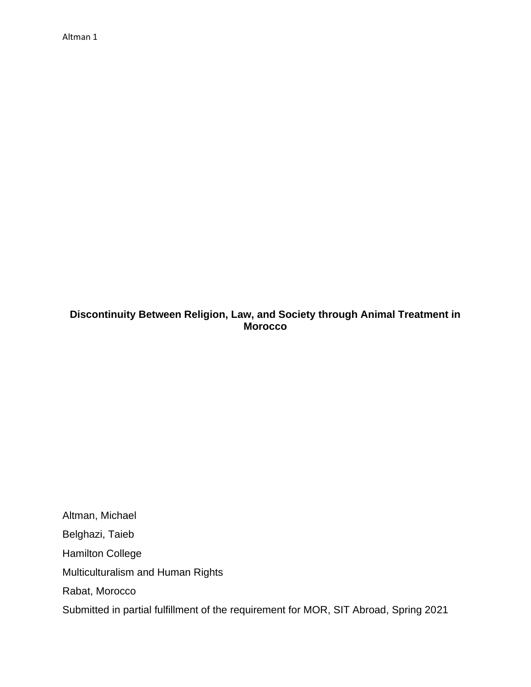# **Discontinuity Between Religion, Law, and Society through Animal Treatment in Morocco**

Altman, Michael Belghazi, Taieb Hamilton College Multiculturalism and Human Rights Rabat, Morocco Submitted in partial fulfillment of the requirement for MOR, SIT Abroad, Spring 2021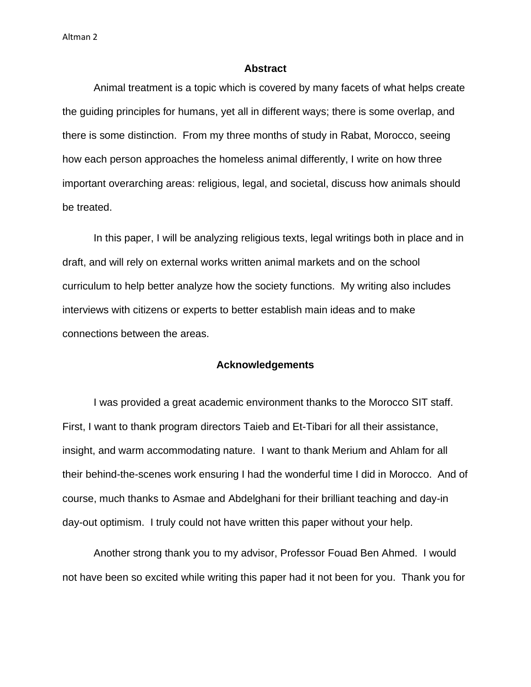#### **Abstract**

Animal treatment is a topic which is covered by many facets of what helps create the guiding principles for humans, yet all in different ways; there is some overlap, and there is some distinction. From my three months of study in Rabat, Morocco, seeing how each person approaches the homeless animal differently, I write on how three important overarching areas: religious, legal, and societal, discuss how animals should be treated.

In this paper, I will be analyzing religious texts, legal writings both in place and in draft, and will rely on external works written animal markets and on the school curriculum to help better analyze how the society functions. My writing also includes interviews with citizens or experts to better establish main ideas and to make connections between the areas.

#### **Acknowledgements**

I was provided a great academic environment thanks to the Morocco SIT staff. First, I want to thank program directors Taieb and Et-Tibari for all their assistance, insight, and warm accommodating nature. I want to thank Merium and Ahlam for all their behind-the-scenes work ensuring I had the wonderful time I did in Morocco. And of course, much thanks to Asmae and Abdelghani for their brilliant teaching and day-in day-out optimism. I truly could not have written this paper without your help.

Another strong thank you to my advisor, Professor Fouad Ben Ahmed. I would not have been so excited while writing this paper had it not been for you. Thank you for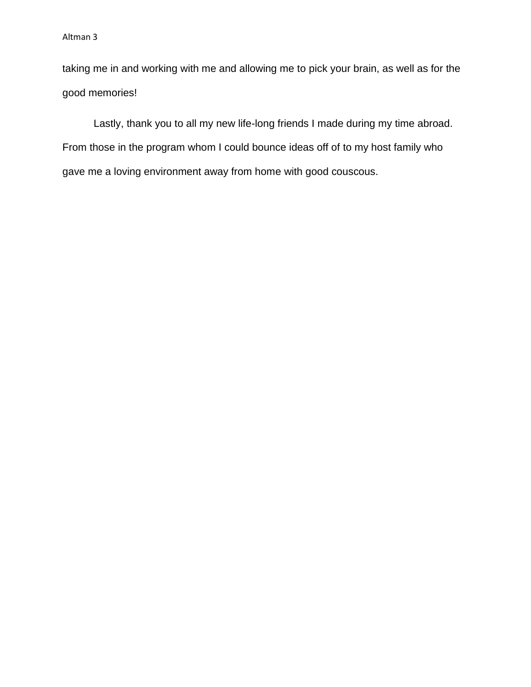taking me in and working with me and allowing me to pick your brain, as well as for the good memories!

Lastly, thank you to all my new life-long friends I made during my time abroad. From those in the program whom I could bounce ideas off of to my host family who gave me a loving environment away from home with good couscous.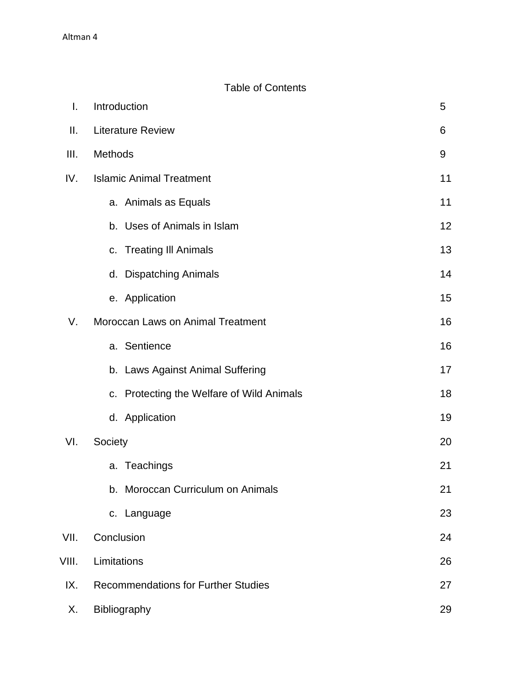# Table of Contents

| I.    | Introduction                                     |    |  |
|-------|--------------------------------------------------|----|--|
| Ⅱ.    | <b>Literature Review</b>                         |    |  |
| III.  | Methods                                          | 9  |  |
| IV.   | <b>Islamic Animal Treatment</b>                  | 11 |  |
|       | a. Animals as Equals                             | 11 |  |
|       | b. Uses of Animals in Islam                      | 12 |  |
|       | c. Treating III Animals                          | 13 |  |
|       | d. Dispatching Animals                           | 14 |  |
|       | e. Application                                   | 15 |  |
| V.    | Moroccan Laws on Animal Treatment                | 16 |  |
|       | a. Sentience                                     | 16 |  |
|       | b. Laws Against Animal Suffering                 | 17 |  |
|       | c. Protecting the Welfare of Wild Animals        | 18 |  |
|       | d. Application                                   | 19 |  |
| VI.   | Society                                          |    |  |
|       | a. Teachings                                     | 21 |  |
|       | b. Moroccan Curriculum on Animals                | 21 |  |
|       | c. Language                                      | 23 |  |
| VII.  | Conclusion                                       | 24 |  |
| VIII. | Limitations<br>26                                |    |  |
| IX.   | <b>Recommendations for Further Studies</b><br>27 |    |  |
| Х.    | Bibliography<br>29                               |    |  |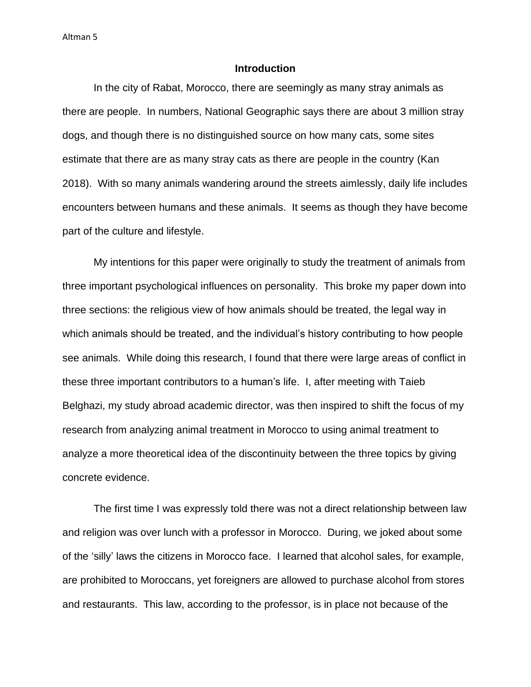## **Introduction**

In the city of Rabat, Morocco, there are seemingly as many stray animals as there are people. In numbers, National Geographic says there are about 3 million stray dogs, and though there is no distinguished source on how many cats, some sites estimate that there are as many stray cats as there are people in the country (Kan 2018). With so many animals wandering around the streets aimlessly, daily life includes encounters between humans and these animals. It seems as though they have become part of the culture and lifestyle.

My intentions for this paper were originally to study the treatment of animals from three important psychological influences on personality. This broke my paper down into three sections: the religious view of how animals should be treated, the legal way in which animals should be treated, and the individual's history contributing to how people see animals. While doing this research, I found that there were large areas of conflict in these three important contributors to a human's life. I, after meeting with Taieb Belghazi, my study abroad academic director, was then inspired to shift the focus of my research from analyzing animal treatment in Morocco to using animal treatment to analyze a more theoretical idea of the discontinuity between the three topics by giving concrete evidence.

The first time I was expressly told there was not a direct relationship between law and religion was over lunch with a professor in Morocco. During, we joked about some of the 'silly' laws the citizens in Morocco face. I learned that alcohol sales, for example, are prohibited to Moroccans, yet foreigners are allowed to purchase alcohol from stores and restaurants. This law, according to the professor, is in place not because of the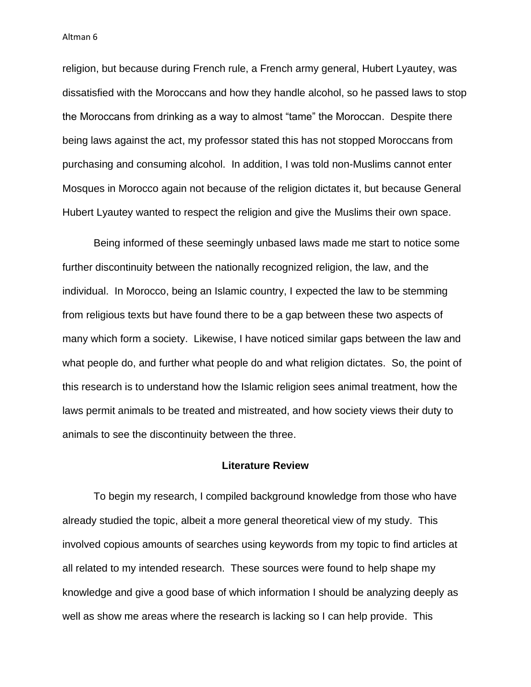religion, but because during French rule, a French army general, Hubert Lyautey, was dissatisfied with the Moroccans and how they handle alcohol, so he passed laws to stop the Moroccans from drinking as a way to almost "tame" the Moroccan. Despite there being laws against the act, my professor stated this has not stopped Moroccans from purchasing and consuming alcohol. In addition, I was told non-Muslims cannot enter Mosques in Morocco again not because of the religion dictates it, but because General Hubert Lyautey wanted to respect the religion and give the Muslims their own space.

Being informed of these seemingly unbased laws made me start to notice some further discontinuity between the nationally recognized religion, the law, and the individual. In Morocco, being an Islamic country, I expected the law to be stemming from religious texts but have found there to be a gap between these two aspects of many which form a society. Likewise, I have noticed similar gaps between the law and what people do, and further what people do and what religion dictates. So, the point of this research is to understand how the Islamic religion sees animal treatment, how the laws permit animals to be treated and mistreated, and how society views their duty to animals to see the discontinuity between the three.

#### **Literature Review**

To begin my research, I compiled background knowledge from those who have already studied the topic, albeit a more general theoretical view of my study. This involved copious amounts of searches using keywords from my topic to find articles at all related to my intended research. These sources were found to help shape my knowledge and give a good base of which information I should be analyzing deeply as well as show me areas where the research is lacking so I can help provide. This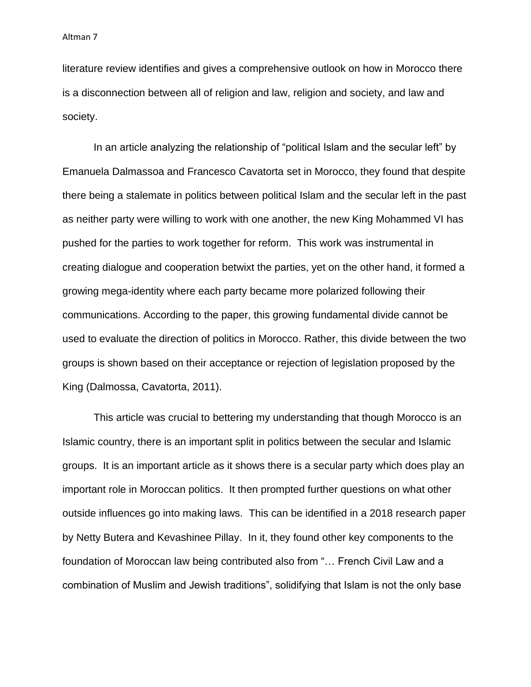literature review identifies and gives a comprehensive outlook on how in Morocco there is a disconnection between all of religion and law, religion and society, and law and society.

In an article analyzing the relationship of "political Islam and the secular left" by Emanuela Dalmassoa and Francesco Cavatorta set in Morocco, they found that despite there being a stalemate in politics between political Islam and the secular left in the past as neither party were willing to work with one another, the new King Mohammed VI has pushed for the parties to work together for reform. This work was instrumental in creating dialogue and cooperation betwixt the parties, yet on the other hand, it formed a growing mega-identity where each party became more polarized following their communications. According to the paper, this growing fundamental divide cannot be used to evaluate the direction of politics in Morocco. Rather, this divide between the two groups is shown based on their acceptance or rejection of legislation proposed by the King (Dalmossa, Cavatorta, 2011).

This article was crucial to bettering my understanding that though Morocco is an Islamic country, there is an important split in politics between the secular and Islamic groups. It is an important article as it shows there is a secular party which does play an important role in Moroccan politics. It then prompted further questions on what other outside influences go into making laws. This can be identified in a 2018 research paper by Netty Butera and Kevashinee Pillay. In it, they found other key components to the foundation of Moroccan law being contributed also from "… French Civil Law and a combination of Muslim and Jewish traditions", solidifying that Islam is not the only base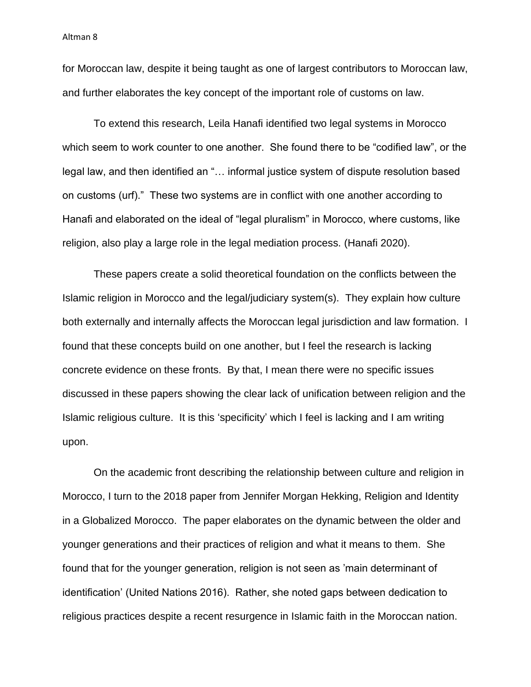for Moroccan law, despite it being taught as one of largest contributors to Moroccan law, and further elaborates the key concept of the important role of customs on law.

To extend this research, Leila Hanafi identified two legal systems in Morocco which seem to work counter to one another. She found there to be "codified law", or the legal law, and then identified an "… informal justice system of dispute resolution based on customs (urf)." These two systems are in conflict with one another according to Hanafi and elaborated on the ideal of "legal pluralism" in Morocco, where customs, like religion, also play a large role in the legal mediation process. (Hanafi 2020).

These papers create a solid theoretical foundation on the conflicts between the Islamic religion in Morocco and the legal/judiciary system(s). They explain how culture both externally and internally affects the Moroccan legal jurisdiction and law formation. I found that these concepts build on one another, but I feel the research is lacking concrete evidence on these fronts. By that, I mean there were no specific issues discussed in these papers showing the clear lack of unification between religion and the Islamic religious culture. It is this 'specificity' which I feel is lacking and I am writing upon.

On the academic front describing the relationship between culture and religion in Morocco, I turn to the 2018 paper from Jennifer Morgan Hekking, Religion and Identity in a Globalized Morocco. The paper elaborates on the dynamic between the older and younger generations and their practices of religion and what it means to them. She found that for the younger generation, religion is not seen as 'main determinant of identification' (United Nations 2016). Rather, she noted gaps between dedication to religious practices despite a recent resurgence in Islamic faith in the Moroccan nation.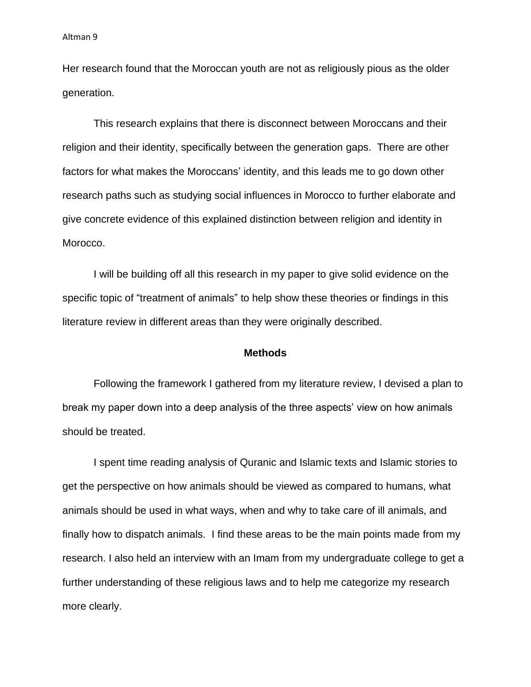Her research found that the Moroccan youth are not as religiously pious as the older generation.

This research explains that there is disconnect between Moroccans and their religion and their identity, specifically between the generation gaps. There are other factors for what makes the Moroccans' identity, and this leads me to go down other research paths such as studying social influences in Morocco to further elaborate and give concrete evidence of this explained distinction between religion and identity in Morocco.

I will be building off all this research in my paper to give solid evidence on the specific topic of "treatment of animals" to help show these theories or findings in this literature review in different areas than they were originally described.

#### **Methods**

Following the framework I gathered from my literature review, I devised a plan to break my paper down into a deep analysis of the three aspects' view on how animals should be treated.

I spent time reading analysis of Quranic and Islamic texts and Islamic stories to get the perspective on how animals should be viewed as compared to humans, what animals should be used in what ways, when and why to take care of ill animals, and finally how to dispatch animals. I find these areas to be the main points made from my research. I also held an interview with an Imam from my undergraduate college to get a further understanding of these religious laws and to help me categorize my research more clearly.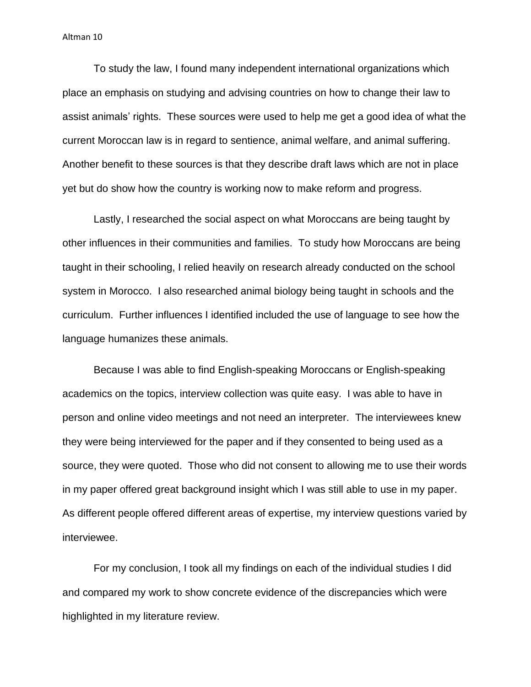To study the law, I found many independent international organizations which place an emphasis on studying and advising countries on how to change their law to assist animals' rights. These sources were used to help me get a good idea of what the current Moroccan law is in regard to sentience, animal welfare, and animal suffering. Another benefit to these sources is that they describe draft laws which are not in place yet but do show how the country is working now to make reform and progress.

Lastly, I researched the social aspect on what Moroccans are being taught by other influences in their communities and families. To study how Moroccans are being taught in their schooling, I relied heavily on research already conducted on the school system in Morocco. I also researched animal biology being taught in schools and the curriculum. Further influences I identified included the use of language to see how the language humanizes these animals.

Because I was able to find English-speaking Moroccans or English-speaking academics on the topics, interview collection was quite easy. I was able to have in person and online video meetings and not need an interpreter. The interviewees knew they were being interviewed for the paper and if they consented to being used as a source, they were quoted. Those who did not consent to allowing me to use their words in my paper offered great background insight which I was still able to use in my paper. As different people offered different areas of expertise, my interview questions varied by interviewee.

For my conclusion, I took all my findings on each of the individual studies I did and compared my work to show concrete evidence of the discrepancies which were highlighted in my literature review.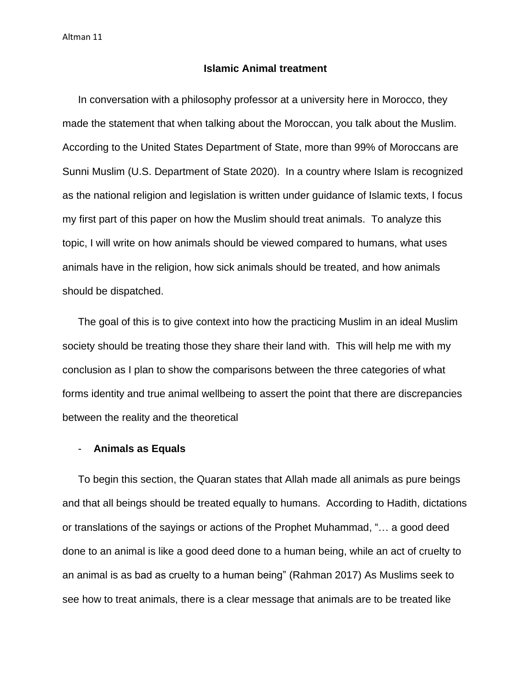## **Islamic Animal treatment**

In conversation with a philosophy professor at a university here in Morocco, they made the statement that when talking about the Moroccan, you talk about the Muslim. According to the United States Department of State, more than 99% of Moroccans are Sunni Muslim (U.S. Department of State 2020). In a country where Islam is recognized as the national religion and legislation is written under guidance of Islamic texts, I focus my first part of this paper on how the Muslim should treat animals. To analyze this topic, I will write on how animals should be viewed compared to humans, what uses animals have in the religion, how sick animals should be treated, and how animals should be dispatched.

The goal of this is to give context into how the practicing Muslim in an ideal Muslim society should be treating those they share their land with. This will help me with my conclusion as I plan to show the comparisons between the three categories of what forms identity and true animal wellbeing to assert the point that there are discrepancies between the reality and the theoretical

# - **Animals as Equals**

To begin this section, the Quaran states that Allah made all animals as pure beings and that all beings should be treated equally to humans. According to Hadith, dictations or translations of the sayings or actions of the Prophet Muhammad, "… a good deed done to an animal is like a good deed done to a human being, while an act of cruelty to an animal is as bad as cruelty to a human being" (Rahman 2017) As Muslims seek to see how to treat animals, there is a clear message that animals are to be treated like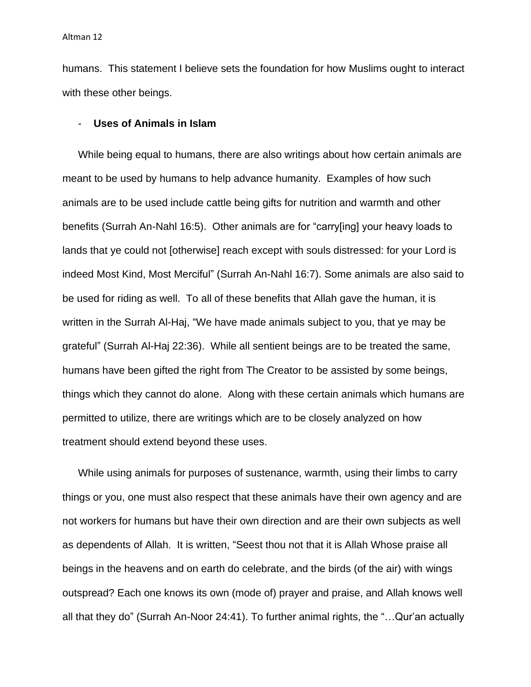humans. This statement I believe sets the foundation for how Muslims ought to interact with these other beings.

#### - **Uses of Animals in Islam**

While being equal to humans, there are also writings about how certain animals are meant to be used by humans to help advance humanity. Examples of how such animals are to be used include cattle being gifts for nutrition and warmth and other benefits (Surrah An-Nahl 16:5). Other animals are for "carry[ing] your heavy loads to lands that ye could not [otherwise] reach except with souls distressed: for your Lord is indeed Most Kind, Most Merciful" (Surrah An-Nahl 16:7). Some animals are also said to be used for riding as well. To all of these benefits that Allah gave the human, it is written in the Surrah Al-Haj, "We have made animals subject to you, that ye may be grateful" (Surrah Al-Haj 22:36). While all sentient beings are to be treated the same, humans have been gifted the right from The Creator to be assisted by some beings, things which they cannot do alone. Along with these certain animals which humans are permitted to utilize, there are writings which are to be closely analyzed on how treatment should extend beyond these uses.

While using animals for purposes of sustenance, warmth, using their limbs to carry things or you, one must also respect that these animals have their own agency and are not workers for humans but have their own direction and are their own subjects as well as dependents of Allah. It is written, "Seest thou not that it is Allah Whose praise all beings in the heavens and on earth do celebrate, and the birds (of the air) with wings outspread? Each one knows its own (mode of) prayer and praise, and Allah knows well all that they do" (Surrah An-Noor 24:41). To further animal rights, the "…Qur'an actually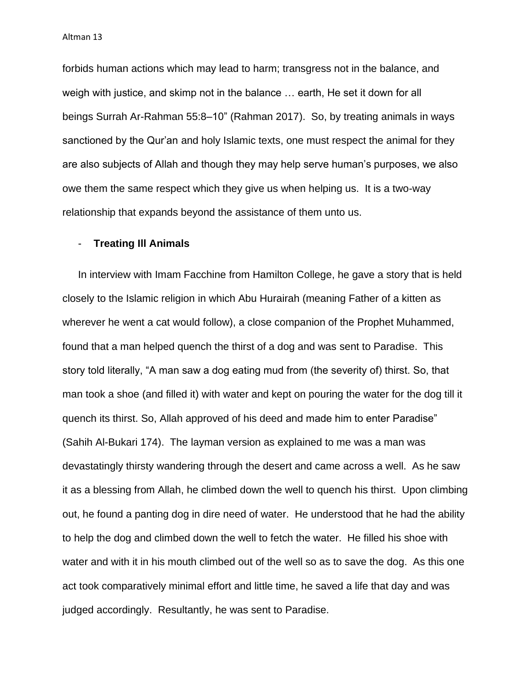forbids human actions which may lead to harm; transgress not in the balance, and weigh with justice, and skimp not in the balance … earth, He set it down for all beings Surrah Ar-Rahman 55:8–10" (Rahman 2017). So, by treating animals in ways sanctioned by the Qur'an and holy Islamic texts, one must respect the animal for they are also subjects of Allah and though they may help serve human's purposes, we also owe them the same respect which they give us when helping us. It is a two-way relationship that expands beyond the assistance of them unto us.

# - **Treating Ill Animals**

In interview with Imam Facchine from Hamilton College, he gave a story that is held closely to the Islamic religion in which Abu Hurairah (meaning Father of a kitten as wherever he went a cat would follow), a close companion of the Prophet Muhammed, found that a man helped quench the thirst of a dog and was sent to Paradise. This story told literally, "A man saw a dog eating mud from (the severity of) thirst. So, that man took a shoe (and filled it) with water and kept on pouring the water for the dog till it quench its thirst. So, Allah approved of his deed and made him to enter Paradise" (Sahih Al-Bukari 174). The layman version as explained to me was a man was devastatingly thirsty wandering through the desert and came across a well. As he saw it as a blessing from Allah, he climbed down the well to quench his thirst. Upon climbing out, he found a panting dog in dire need of water. He understood that he had the ability to help the dog and climbed down the well to fetch the water. He filled his shoe with water and with it in his mouth climbed out of the well so as to save the dog. As this one act took comparatively minimal effort and little time, he saved a life that day and was judged accordingly. Resultantly, he was sent to Paradise.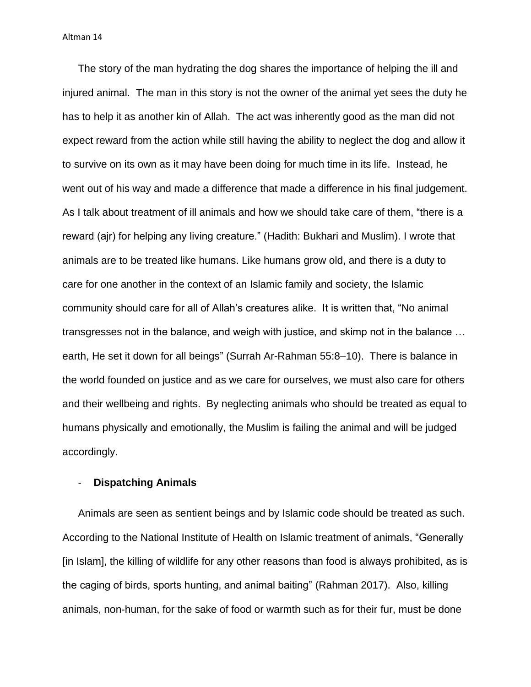The story of the man hydrating the dog shares the importance of helping the ill and injured animal. The man in this story is not the owner of the animal yet sees the duty he has to help it as another kin of Allah. The act was inherently good as the man did not expect reward from the action while still having the ability to neglect the dog and allow it to survive on its own as it may have been doing for much time in its life. Instead, he went out of his way and made a difference that made a difference in his final judgement. As I talk about treatment of ill animals and how we should take care of them, "there is a reward (ajr) for helping any living creature." (Hadith: Bukhari and Muslim). I wrote that animals are to be treated like humans. Like humans grow old, and there is a duty to care for one another in the context of an Islamic family and society, the Islamic community should care for all of Allah's creatures alike. It is written that, "No animal transgresses not in the balance, and weigh with justice, and skimp not in the balance … earth, He set it down for all beings" (Surrah Ar-Rahman 55:8–10). There is balance in the world founded on justice and as we care for ourselves, we must also care for others and their wellbeing and rights. By neglecting animals who should be treated as equal to humans physically and emotionally, the Muslim is failing the animal and will be judged accordingly.

## - **Dispatching Animals**

Animals are seen as sentient beings and by Islamic code should be treated as such. According to the National Institute of Health on Islamic treatment of animals, "Generally [in Islam], the killing of wildlife for any other reasons than food is always prohibited, as is the caging of birds, sports hunting, and animal baiting" (Rahman 2017). Also, killing animals, non-human, for the sake of food or warmth such as for their fur, must be done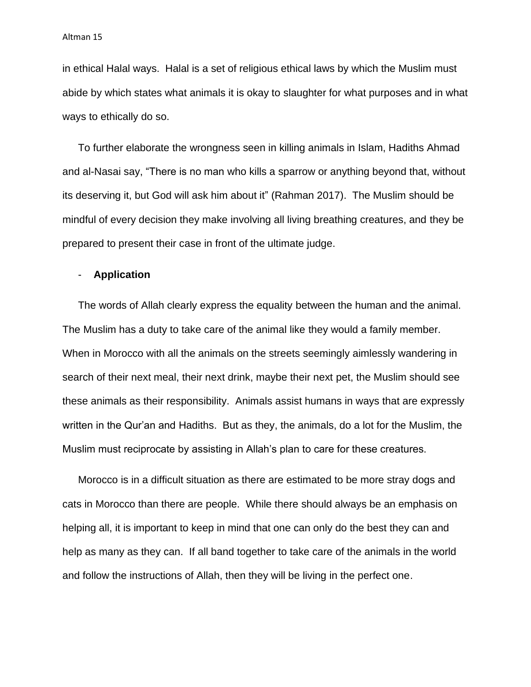in ethical Halal ways. Halal is a set of religious ethical laws by which the Muslim must abide by which states what animals it is okay to slaughter for what purposes and in what ways to ethically do so.

To further elaborate the wrongness seen in killing animals in Islam, Hadiths Ahmad and al-Nasai say, "There is no man who kills a sparrow or anything beyond that, without its deserving it, but God will ask him about it" (Rahman 2017). The Muslim should be mindful of every decision they make involving all living breathing creatures, and they be prepared to present their case in front of the ultimate judge.

## - **Application**

The words of Allah clearly express the equality between the human and the animal. The Muslim has a duty to take care of the animal like they would a family member. When in Morocco with all the animals on the streets seemingly aimlessly wandering in search of their next meal, their next drink, maybe their next pet, the Muslim should see these animals as their responsibility. Animals assist humans in ways that are expressly written in the Qur'an and Hadiths. But as they, the animals, do a lot for the Muslim, the Muslim must reciprocate by assisting in Allah's plan to care for these creatures.

Morocco is in a difficult situation as there are estimated to be more stray dogs and cats in Morocco than there are people. While there should always be an emphasis on helping all, it is important to keep in mind that one can only do the best they can and help as many as they can. If all band together to take care of the animals in the world and follow the instructions of Allah, then they will be living in the perfect one.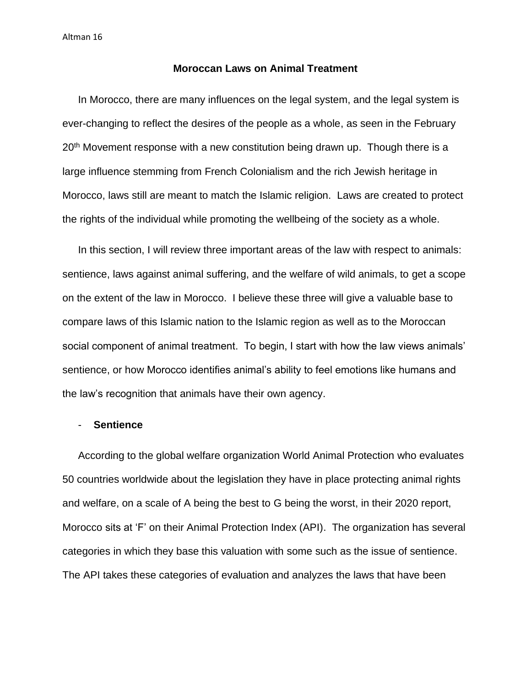#### **Moroccan Laws on Animal Treatment**

In Morocco, there are many influences on the legal system, and the legal system is ever-changing to reflect the desires of the people as a whole, as seen in the February 20<sup>th</sup> Movement response with a new constitution being drawn up. Though there is a large influence stemming from French Colonialism and the rich Jewish heritage in Morocco, laws still are meant to match the Islamic religion. Laws are created to protect the rights of the individual while promoting the wellbeing of the society as a whole.

In this section, I will review three important areas of the law with respect to animals: sentience, laws against animal suffering, and the welfare of wild animals, to get a scope on the extent of the law in Morocco. I believe these three will give a valuable base to compare laws of this Islamic nation to the Islamic region as well as to the Moroccan social component of animal treatment. To begin, I start with how the law views animals' sentience, or how Morocco identifies animal's ability to feel emotions like humans and the law's recognition that animals have their own agency.

#### - **Sentience**

According to the global welfare organization World Animal Protection who evaluates 50 countries worldwide about the legislation they have in place protecting animal rights and welfare, on a scale of A being the best to G being the worst, in their 2020 report, Morocco sits at 'F' on their Animal Protection Index (API). The organization has several categories in which they base this valuation with some such as the issue of sentience. The API takes these categories of evaluation and analyzes the laws that have been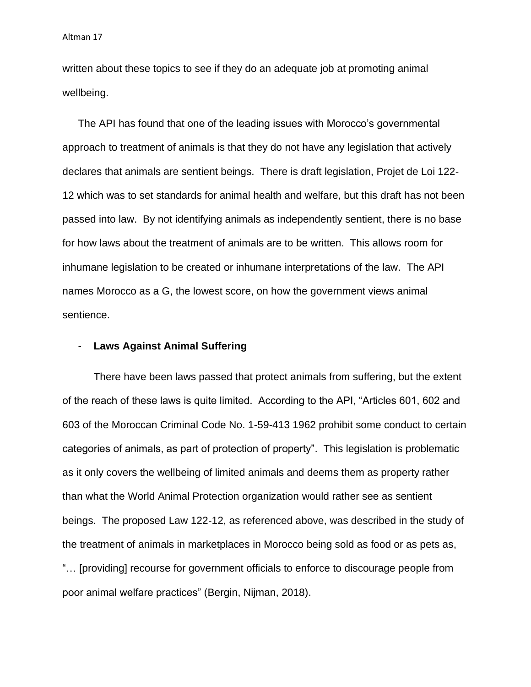written about these topics to see if they do an adequate job at promoting animal wellbeing.

The API has found that one of the leading issues with Morocco's governmental approach to treatment of animals is that they do not have any legislation that actively declares that animals are sentient beings. There is draft legislation, Projet de Loi 122- 12 which was to set standards for animal health and welfare, but this draft has not been passed into law. By not identifying animals as independently sentient, there is no base for how laws about the treatment of animals are to be written. This allows room for inhumane legislation to be created or inhumane interpretations of the law. The API names Morocco as a G, the lowest score, on how the government views animal sentience.

## - **Laws Against Animal Suffering**

There have been laws passed that protect animals from suffering, but the extent of the reach of these laws is quite limited. According to the API, "Articles 601, 602 and 603 of the Moroccan Criminal Code No. 1-59-413 1962 prohibit some conduct to certain categories of animals, as part of protection of property". This legislation is problematic as it only covers the wellbeing of limited animals and deems them as property rather than what the World Animal Protection organization would rather see as sentient beings. The proposed Law 122-12, as referenced above, was described in the study of the treatment of animals in marketplaces in Morocco being sold as food or as pets as, "… [providing] recourse for government officials to enforce to discourage people from poor animal welfare practices" (Bergin, Nijman, 2018).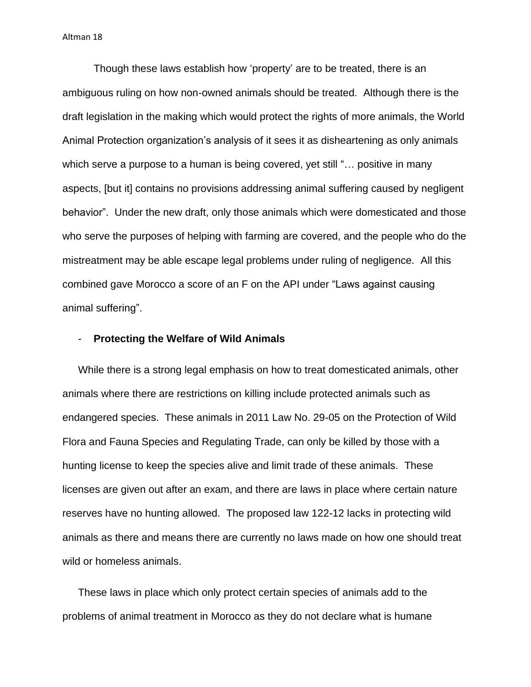Though these laws establish how 'property' are to be treated, there is an ambiguous ruling on how non-owned animals should be treated. Although there is the draft legislation in the making which would protect the rights of more animals, the World Animal Protection organization's analysis of it sees it as disheartening as only animals which serve a purpose to a human is being covered, yet still "... positive in many aspects, [but it] contains no provisions addressing animal suffering caused by negligent behavior". Under the new draft, only those animals which were domesticated and those who serve the purposes of helping with farming are covered, and the people who do the mistreatment may be able escape legal problems under ruling of negligence. All this combined gave Morocco a score of an F on the API under "Laws against causing animal suffering".

#### - **Protecting the Welfare of Wild Animals**

While there is a strong legal emphasis on how to treat domesticated animals, other animals where there are restrictions on killing include protected animals such as endangered species. These animals in 2011 Law No. 29-05 on the Protection of Wild Flora and Fauna Species and Regulating Trade, can only be killed by those with a hunting license to keep the species alive and limit trade of these animals. These licenses are given out after an exam, and there are laws in place where certain nature reserves have no hunting allowed. The proposed law 122-12 lacks in protecting wild animals as there and means there are currently no laws made on how one should treat wild or homeless animals.

These laws in place which only protect certain species of animals add to the problems of animal treatment in Morocco as they do not declare what is humane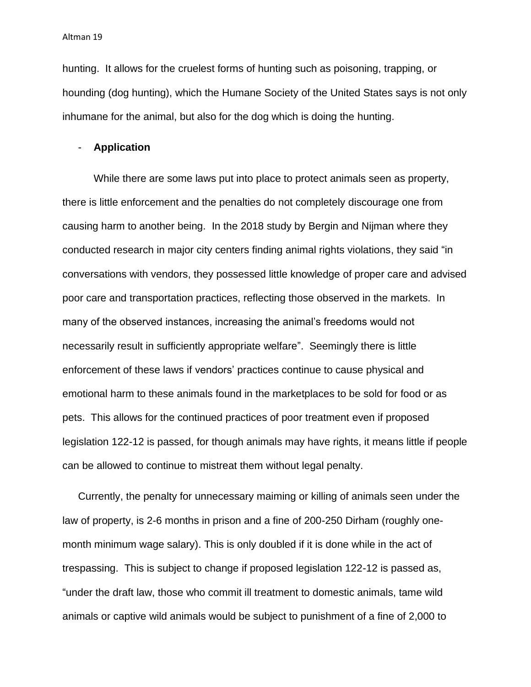hunting. It allows for the cruelest forms of hunting such as poisoning, trapping, or hounding (dog hunting), which the Humane Society of the United States says is not only inhumane for the animal, but also for the dog which is doing the hunting.

## - **Application**

While there are some laws put into place to protect animals seen as property, there is little enforcement and the penalties do not completely discourage one from causing harm to another being. In the 2018 study by Bergin and Nijman where they conducted research in major city centers finding animal rights violations, they said "in conversations with vendors, they possessed little knowledge of proper care and advised poor care and transportation practices, reflecting those observed in the markets. In many of the observed instances, increasing the animal's freedoms would not necessarily result in sufficiently appropriate welfare". Seemingly there is little enforcement of these laws if vendors' practices continue to cause physical and emotional harm to these animals found in the marketplaces to be sold for food or as pets. This allows for the continued practices of poor treatment even if proposed legislation 122-12 is passed, for though animals may have rights, it means little if people can be allowed to continue to mistreat them without legal penalty.

Currently, the penalty for unnecessary maiming or killing of animals seen under the law of property, is 2-6 months in prison and a fine of 200-250 Dirham (roughly onemonth minimum wage salary). This is only doubled if it is done while in the act of trespassing. This is subject to change if proposed legislation 122-12 is passed as, "under the draft law, those who commit ill treatment to domestic animals, tame wild animals or captive wild animals would be subject to punishment of a fine of 2,000 to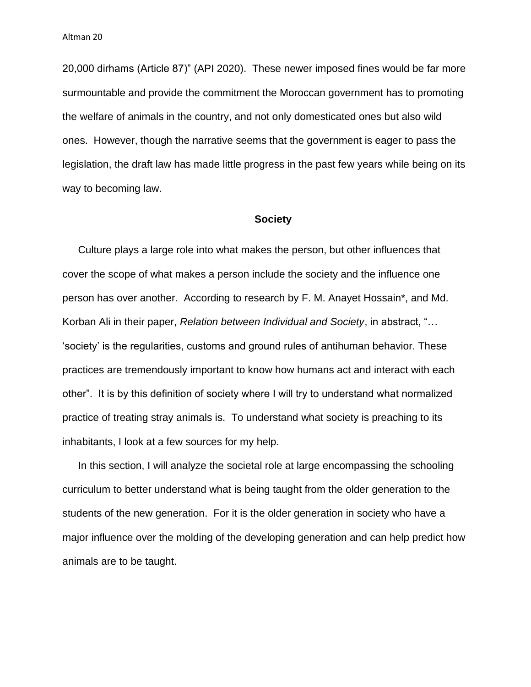20,000 dirhams (Article 87)" (API 2020). These newer imposed fines would be far more surmountable and provide the commitment the Moroccan government has to promoting the welfare of animals in the country, and not only domesticated ones but also wild ones. However, though the narrative seems that the government is eager to pass the legislation, the draft law has made little progress in the past few years while being on its way to becoming law.

#### **Society**

Culture plays a large role into what makes the person, but other influences that cover the scope of what makes a person include the society and the influence one person has over another. According to research by F. M. Anayet Hossain\*, and Md. Korban Ali in their paper, *Relation between Individual and Society*, in abstract, "… 'society' is the regularities, customs and ground rules of antihuman behavior. These practices are tremendously important to know how humans act and interact with each other". It is by this definition of society where I will try to understand what normalized practice of treating stray animals is. To understand what society is preaching to its inhabitants, I look at a few sources for my help.

In this section, I will analyze the societal role at large encompassing the schooling curriculum to better understand what is being taught from the older generation to the students of the new generation. For it is the older generation in society who have a major influence over the molding of the developing generation and can help predict how animals are to be taught.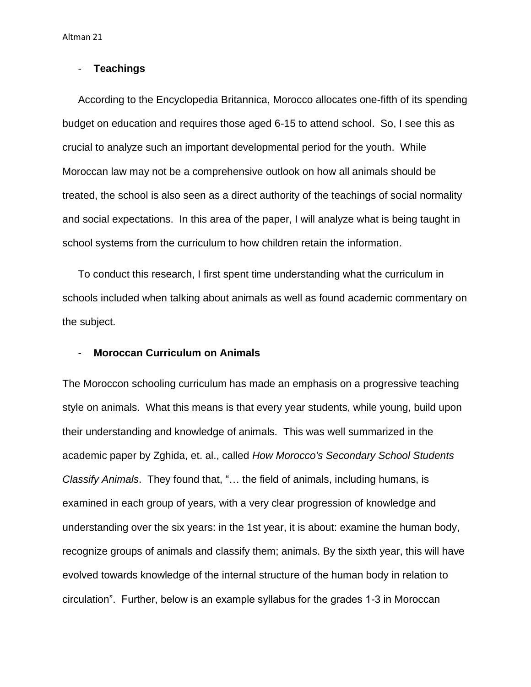# - **Teachings**

According to the Encyclopedia Britannica, Morocco allocates one-fifth of its spending budget on education and requires those aged 6-15 to attend school. So, I see this as crucial to analyze such an important developmental period for the youth. While Moroccan law may not be a comprehensive outlook on how all animals should be treated, the school is also seen as a direct authority of the teachings of social normality and social expectations. In this area of the paper, I will analyze what is being taught in school systems from the curriculum to how children retain the information.

To conduct this research, I first spent time understanding what the curriculum in schools included when talking about animals as well as found academic commentary on the subject.

## - **Moroccan Curriculum on Animals**

The Moroccon schooling curriculum has made an emphasis on a progressive teaching style on animals. What this means is that every year students, while young, build upon their understanding and knowledge of animals. This was well summarized in the academic paper by Zghida, et. al., called *How Morocco's Secondary School Students Classify Animals*. They found that, "… the field of animals, including humans, is examined in each group of years, with a very clear progression of knowledge and understanding over the six years: in the 1st year, it is about: examine the human body, recognize groups of animals and classify them; animals. By the sixth year, this will have evolved towards knowledge of the internal structure of the human body in relation to circulation". Further, below is an example syllabus for the grades 1-3 in Moroccan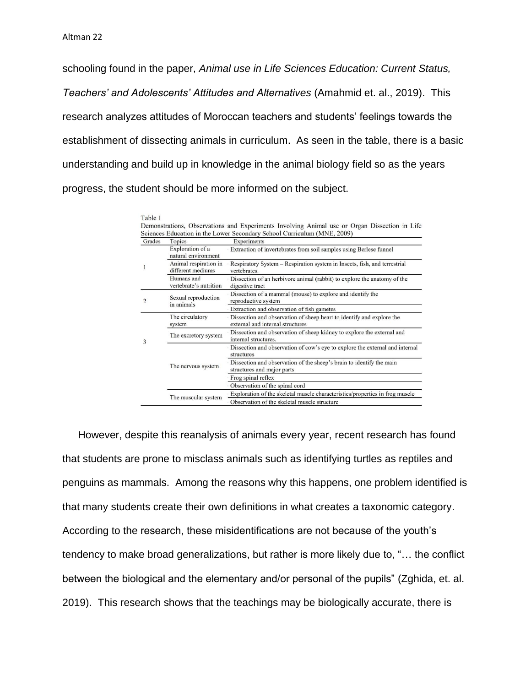schooling found in the paper, *Animal use in Life Sciences Education: Current Status, Teachers' and Adolescents' Attitudes and Alternatives* (Amahmid et. al., 2019). This research analyzes attitudes of Moroccan teachers and students' feelings towards the establishment of dissecting animals in curriculum. As seen in the table, there is a basic understanding and build up in knowledge in the animal biology field so as the years progress, the student should be more informed on the subject.

| Grades | Topics                                     | Experiments                                                                                               |
|--------|--------------------------------------------|-----------------------------------------------------------------------------------------------------------|
|        | Exploration of a<br>natural environment    | Extraction of invertebrates from soil samples using Berlese funnel                                        |
|        | Animal respiration in<br>different mediums | Respiratory System – Respiration system in Insects, fish, and terrestrial<br>vertebrates.                 |
|        | Humans and<br>vertebrate's nutrition       | Dissection of an herbivore animal (rabbit) to explore the anatomy of the<br>digestive tract               |
|        | Sexual reproduction<br>in animals          | Dissection of a mammal (mouse) to explore and identify the<br>reproductive system                         |
|        |                                            | Extraction and observation of fish gametes                                                                |
|        | The circulatory<br>system                  | Dissection and observation of sheep heart to identify and explore the<br>external and internal structures |
| 3      | The excretory system                       | Dissection and observation of sheep kidney to explore the external and<br>internal structures.            |
|        | The nervous system                         | Dissection and observation of cow's eye to explore the external and internal<br>structures                |
|        |                                            | Dissection and observation of the sheep's brain to identify the main<br>structures and major parts        |
|        |                                            | Frog spinal reflex                                                                                        |
|        |                                            | Observation of the spinal cord                                                                            |
|        | The muscular system                        | Exploration of the skeletal muscle characteristics/properties in frog muscle                              |
|        |                                            | Observation of the skeletal muscle structure                                                              |

Table 1

However, despite this reanalysis of animals every year, recent research has found that students are prone to misclass animals such as identifying turtles as reptiles and penguins as mammals. Among the reasons why this happens, one problem identified is that many students create their own definitions in what creates a taxonomic category. According to the research, these misidentifications are not because of the youth's tendency to make broad generalizations, but rather is more likely due to, "… the conflict between the biological and the elementary and/or personal of the pupils" (Zghida, et. al. 2019). This research shows that the teachings may be biologically accurate, there is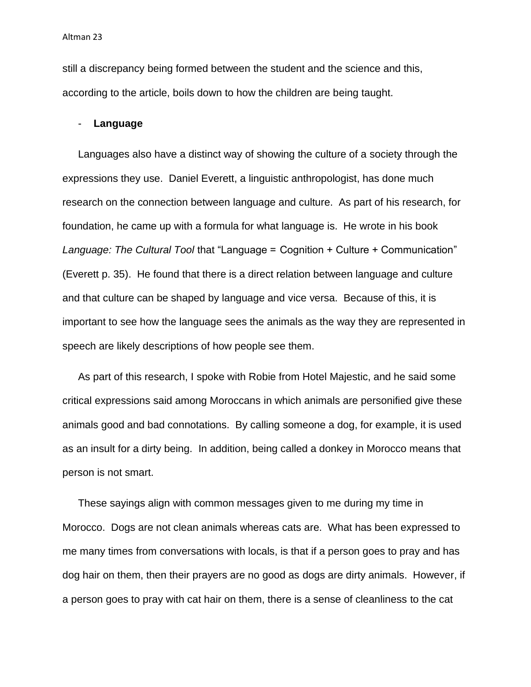still a discrepancy being formed between the student and the science and this, according to the article, boils down to how the children are being taught.

#### - **Language**

Languages also have a distinct way of showing the culture of a society through the expressions they use. Daniel Everett, a linguistic anthropologist, has done much research on the connection between language and culture. As part of his research, for foundation, he came up with a formula for what language is. He wrote in his book *Language: The Cultural Tool* that "Language =  Cognition + Culture + Communication" (Everett p. 35). He found that there is a direct relation between language and culture and that culture can be shaped by language and vice versa. Because of this, it is important to see how the language sees the animals as the way they are represented in speech are likely descriptions of how people see them.

As part of this research, I spoke with Robie from Hotel Majestic, and he said some critical expressions said among Moroccans in which animals are personified give these animals good and bad connotations. By calling someone a dog, for example, it is used as an insult for a dirty being. In addition, being called a donkey in Morocco means that person is not smart.

These sayings align with common messages given to me during my time in Morocco. Dogs are not clean animals whereas cats are. What has been expressed to me many times from conversations with locals, is that if a person goes to pray and has dog hair on them, then their prayers are no good as dogs are dirty animals. However, if a person goes to pray with cat hair on them, there is a sense of cleanliness to the cat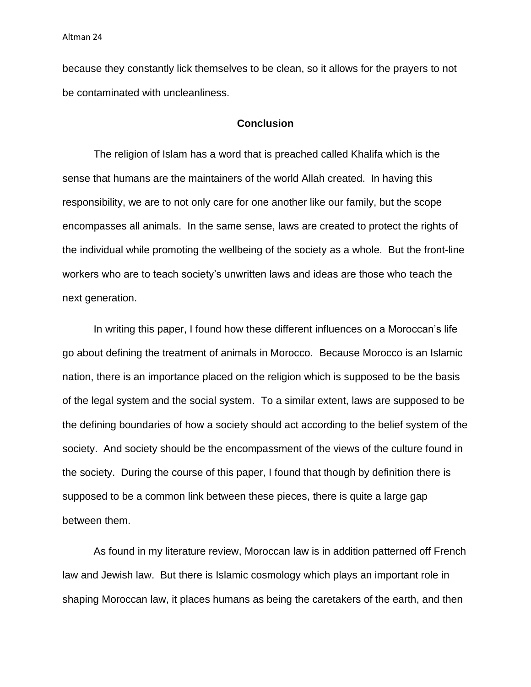because they constantly lick themselves to be clean, so it allows for the prayers to not be contaminated with uncleanliness.

#### **Conclusion**

The religion of Islam has a word that is preached called Khalifa which is the sense that humans are the maintainers of the world Allah created. In having this responsibility, we are to not only care for one another like our family, but the scope encompasses all animals. In the same sense, laws are created to protect the rights of the individual while promoting the wellbeing of the society as a whole. But the front-line workers who are to teach society's unwritten laws and ideas are those who teach the next generation.

In writing this paper, I found how these different influences on a Moroccan's life go about defining the treatment of animals in Morocco. Because Morocco is an Islamic nation, there is an importance placed on the religion which is supposed to be the basis of the legal system and the social system. To a similar extent, laws are supposed to be the defining boundaries of how a society should act according to the belief system of the society. And society should be the encompassment of the views of the culture found in the society. During the course of this paper, I found that though by definition there is supposed to be a common link between these pieces, there is quite a large gap between them.

As found in my literature review, Moroccan law is in addition patterned off French law and Jewish law. But there is Islamic cosmology which plays an important role in shaping Moroccan law, it places humans as being the caretakers of the earth, and then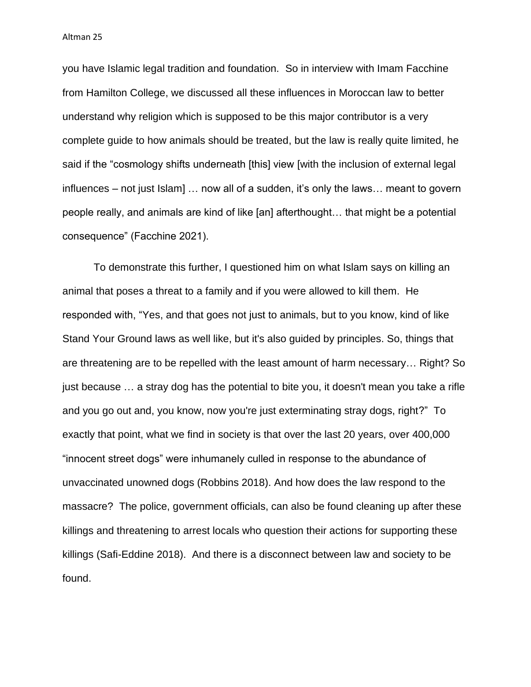you have Islamic legal tradition and foundation. So in interview with Imam Facchine from Hamilton College, we discussed all these influences in Moroccan law to better understand why religion which is supposed to be this major contributor is a very complete guide to how animals should be treated, but the law is really quite limited, he said if the "cosmology shifts underneath [this] view [with the inclusion of external legal influences – not just Islam] … now all of a sudden, it's only the laws… meant to govern people really, and animals are kind of like [an] afterthought… that might be a potential consequence" (Facchine 2021).

To demonstrate this further, I questioned him on what Islam says on killing an animal that poses a threat to a family and if you were allowed to kill them. He responded with, "Yes, and that goes not just to animals, but to you know, kind of like Stand Your Ground laws as well like, but it's also guided by principles. So, things that are threatening are to be repelled with the least amount of harm necessary… Right? So just because … a stray dog has the potential to bite you, it doesn't mean you take a rifle and you go out and, you know, now you're just exterminating stray dogs, right?" To exactly that point, what we find in society is that over the last 20 years, over 400,000 "innocent street dogs" were inhumanely culled in response to the abundance of unvaccinated unowned dogs (Robbins 2018). And how does the law respond to the massacre? The police, government officials, can also be found cleaning up after these killings and threatening to arrest locals who question their actions for supporting these killings (Safi-Eddine 2018). And there is a disconnect between law and society to be found.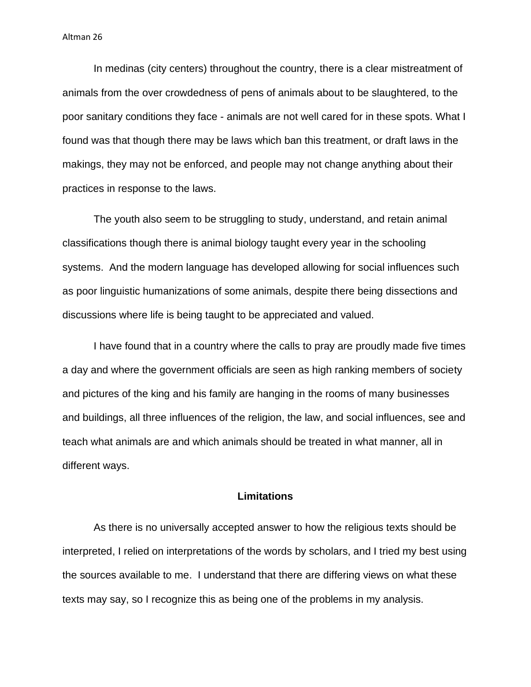In medinas (city centers) throughout the country, there is a clear mistreatment of animals from the over crowdedness of pens of animals about to be slaughtered, to the poor sanitary conditions they face - animals are not well cared for in these spots. What I found was that though there may be laws which ban this treatment, or draft laws in the makings, they may not be enforced, and people may not change anything about their practices in response to the laws.

The youth also seem to be struggling to study, understand, and retain animal classifications though there is animal biology taught every year in the schooling systems. And the modern language has developed allowing for social influences such as poor linguistic humanizations of some animals, despite there being dissections and discussions where life is being taught to be appreciated and valued.

I have found that in a country where the calls to pray are proudly made five times a day and where the government officials are seen as high ranking members of society and pictures of the king and his family are hanging in the rooms of many businesses and buildings, all three influences of the religion, the law, and social influences, see and teach what animals are and which animals should be treated in what manner, all in different ways.

#### **Limitations**

As there is no universally accepted answer to how the religious texts should be interpreted, I relied on interpretations of the words by scholars, and I tried my best using the sources available to me. I understand that there are differing views on what these texts may say, so I recognize this as being one of the problems in my analysis.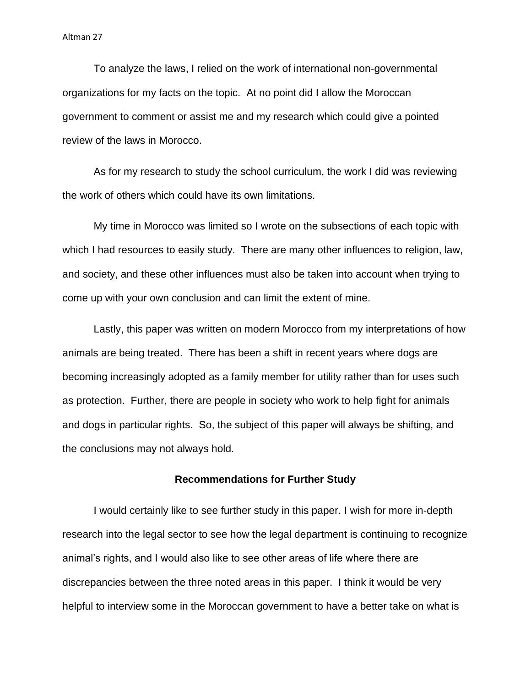To analyze the laws, I relied on the work of international non-governmental organizations for my facts on the topic. At no point did I allow the Moroccan government to comment or assist me and my research which could give a pointed review of the laws in Morocco.

As for my research to study the school curriculum, the work I did was reviewing the work of others which could have its own limitations.

My time in Morocco was limited so I wrote on the subsections of each topic with which I had resources to easily study. There are many other influences to religion, law, and society, and these other influences must also be taken into account when trying to come up with your own conclusion and can limit the extent of mine.

Lastly, this paper was written on modern Morocco from my interpretations of how animals are being treated. There has been a shift in recent years where dogs are becoming increasingly adopted as a family member for utility rather than for uses such as protection. Further, there are people in society who work to help fight for animals and dogs in particular rights. So, the subject of this paper will always be shifting, and the conclusions may not always hold.

## **Recommendations for Further Study**

I would certainly like to see further study in this paper. I wish for more in-depth research into the legal sector to see how the legal department is continuing to recognize animal's rights, and I would also like to see other areas of life where there are discrepancies between the three noted areas in this paper. I think it would be very helpful to interview some in the Moroccan government to have a better take on what is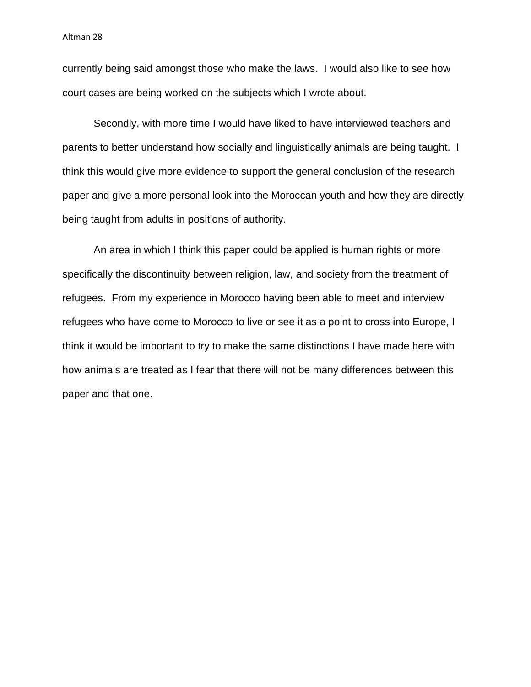currently being said amongst those who make the laws. I would also like to see how court cases are being worked on the subjects which I wrote about.

Secondly, with more time I would have liked to have interviewed teachers and parents to better understand how socially and linguistically animals are being taught. I think this would give more evidence to support the general conclusion of the research paper and give a more personal look into the Moroccan youth and how they are directly being taught from adults in positions of authority.

An area in which I think this paper could be applied is human rights or more specifically the discontinuity between religion, law, and society from the treatment of refugees. From my experience in Morocco having been able to meet and interview refugees who have come to Morocco to live or see it as a point to cross into Europe, I think it would be important to try to make the same distinctions I have made here with how animals are treated as I fear that there will not be many differences between this paper and that one.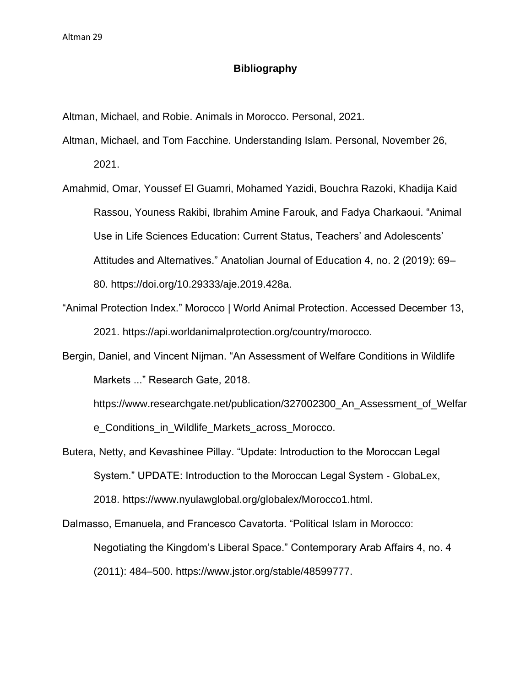# **Bibliography**

Altman, Michael, and Robie. Animals in Morocco. Personal, 2021.

- Altman, Michael, and Tom Facchine. Understanding Islam. Personal, November 26, 2021.
- Amahmid, Omar, Youssef El Guamri, Mohamed Yazidi, Bouchra Razoki, Khadija Kaid Rassou, Youness Rakibi, Ibrahim Amine Farouk, and Fadya Charkaoui. "Animal Use in Life Sciences Education: Current Status, Teachers' and Adolescents' Attitudes and Alternatives." Anatolian Journal of Education 4, no. 2 (2019): 69– 80. https://doi.org/10.29333/aje.2019.428a.
- "Animal Protection Index." Morocco | World Animal Protection. Accessed December 13, 2021. https://api.worldanimalprotection.org/country/morocco.
- Bergin, Daniel, and Vincent Nijman. "An Assessment of Welfare Conditions in Wildlife Markets ..." Research Gate, 2018.

https://www.researchgate.net/publication/327002300\_An\_Assessment\_of\_Welfar e\_Conditions\_in\_Wildlife\_Markets\_across\_Morocco.

Butera, Netty, and Kevashinee Pillay. "Update: Introduction to the Moroccan Legal System." UPDATE: Introduction to the Moroccan Legal System - GlobaLex, 2018. https://www.nyulawglobal.org/globalex/Morocco1.html.

Dalmasso, Emanuela, and Francesco Cavatorta. "Political Islam in Morocco: Negotiating the Kingdom's Liberal Space." Contemporary Arab Affairs 4, no. 4 (2011): 484–500. https://www.jstor.org/stable/48599777.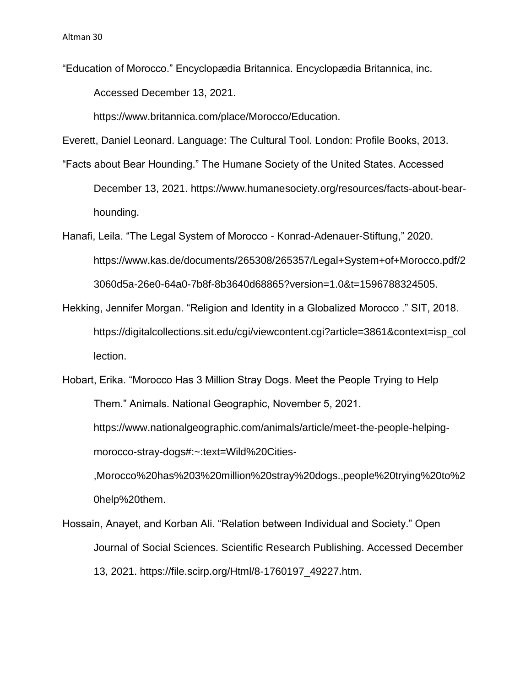"Education of Morocco." Encyclopædia Britannica. Encyclopædia Britannica, inc. Accessed December 13, 2021.

https://www.britannica.com/place/Morocco/Education.

Everett, Daniel Leonard. Language: The Cultural Tool. London: Profile Books, 2013.

- "Facts about Bear Hounding." The Humane Society of the United States. Accessed December 13, 2021. https://www.humanesociety.org/resources/facts-about-bearhounding.
- Hanafi, Leila. "The Legal System of Morocco Konrad-Adenauer-Stiftung," 2020. https://www.kas.de/documents/265308/265357/Legal+System+of+Morocco.pdf/2 3060d5a-26e0-64a0-7b8f-8b3640d68865?version=1.0&t=1596788324505.
- Hekking, Jennifer Morgan. "Religion and Identity in a Globalized Morocco ." SIT, 2018. https://digitalcollections.sit.edu/cgi/viewcontent.cgi?article=3861&context=isp\_col lection.
- Hobart, Erika. "Morocco Has 3 Million Stray Dogs. Meet the People Trying to Help Them." Animals. National Geographic, November 5, 2021. https://www.nationalgeographic.com/animals/article/meet-the-people-helpingmorocco-stray-dogs#:~:text=Wild%20Cities-

,Morocco%20has%203%20million%20stray%20dogs.,people%20trying%20to%2 0help%20them.

Hossain, Anayet, and Korban Ali. "Relation between Individual and Society." Open Journal of Social Sciences. Scientific Research Publishing. Accessed December 13, 2021. https://file.scirp.org/Html/8-1760197\_49227.htm.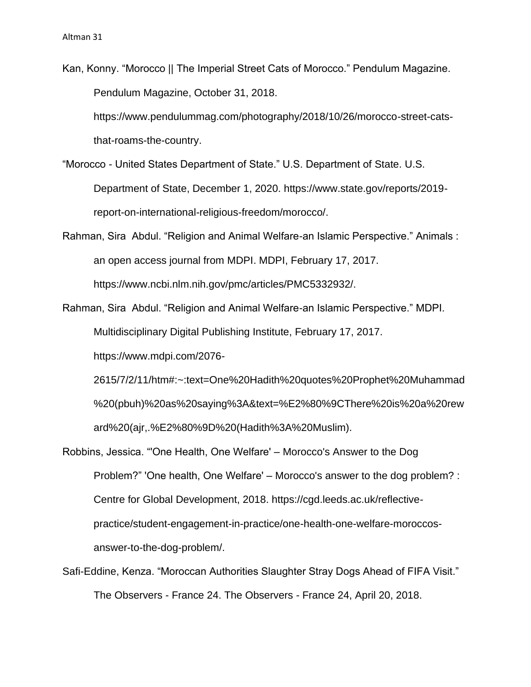Kan, Konny. "Morocco || The Imperial Street Cats of Morocco." Pendulum Magazine. Pendulum Magazine, October 31, 2018.

https://www.pendulummag.com/photography/2018/10/26/morocco-street-catsthat-roams-the-country.

"Morocco - United States Department of State." U.S. Department of State. U.S. Department of State, December 1, 2020. https://www.state.gov/reports/2019 report-on-international-religious-freedom/morocco/.

- Rahman, Sira Abdul. "Religion and Animal Welfare-an Islamic Perspective." Animals : an open access journal from MDPI. MDPI, February 17, 2017. https://www.ncbi.nlm.nih.gov/pmc/articles/PMC5332932/.
- Rahman, Sira Abdul. "Religion and Animal Welfare-an Islamic Perspective." MDPI. Multidisciplinary Digital Publishing Institute, February 17, 2017. https://www.mdpi.com/2076-

2615/7/2/11/htm#:~:text=One%20Hadith%20quotes%20Prophet%20Muhammad %20(pbuh)%20as%20saying%3A&text=%E2%80%9CThere%20is%20a%20rew ard%20(ajr,.%E2%80%9D%20(Hadith%3A%20Muslim).

- Robbins, Jessica. "'One Health, One Welfare' Morocco's Answer to the Dog Problem?" 'One health, One Welfare' – Morocco's answer to the dog problem? : Centre for Global Development, 2018. https://cgd.leeds.ac.uk/reflectivepractice/student-engagement-in-practice/one-health-one-welfare-moroccosanswer-to-the-dog-problem/.
- Safi-Eddine, Kenza. "Moroccan Authorities Slaughter Stray Dogs Ahead of FIFA Visit." The Observers - France 24. The Observers - France 24, April 20, 2018.